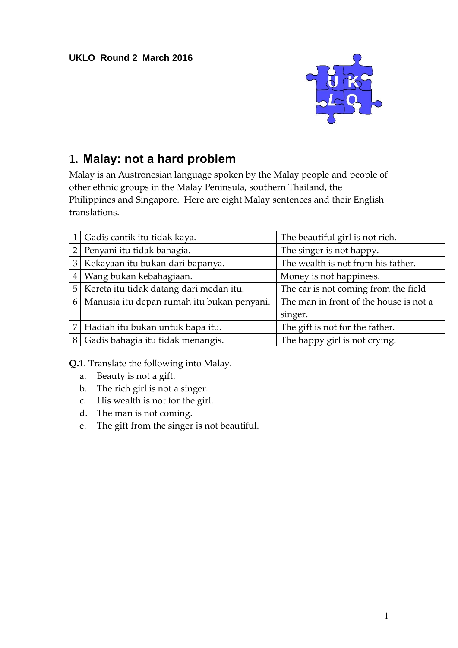

## **1. Malay: not a hard problem**

Malay is an Austronesian language spoken by the Malay people and people of other ethnic groups in the Malay Peninsula, southern Thailand, the Philippines and Singapore. Here are eight Malay sentences and their English translations.

|                | Gadis cantik itu tidak kaya.                   | The beautiful girl is not rich.        |
|----------------|------------------------------------------------|----------------------------------------|
| $\overline{2}$ | Penyani itu tidak bahagia.                     | The singer is not happy.               |
| 3 <sup>1</sup> | Kekayaan itu bukan dari bapanya.               | The wealth is not from his father.     |
| $\overline{4}$ | Wang bukan kebahagiaan.                        | Money is not happiness.                |
|                | 5   Kereta itu tidak datang dari medan itu.    | The car is not coming from the field   |
|                | 6   Manusia itu depan rumah itu bukan penyani. | The man in front of the house is not a |
|                |                                                | singer.                                |
|                | 7 Hadiah itu bukan untuk bapa itu.             | The gift is not for the father.        |
| 8              | Gadis bahagia itu tidak menangis.              | The happy girl is not crying.          |

**Q.1**. Translate the following into Malay.

- a. Beauty is not a gift.
- b. The rich girl is not a singer.
- c. His wealth is not for the girl.
- d. The man is not coming.
- e. The gift from the singer is not beautiful.